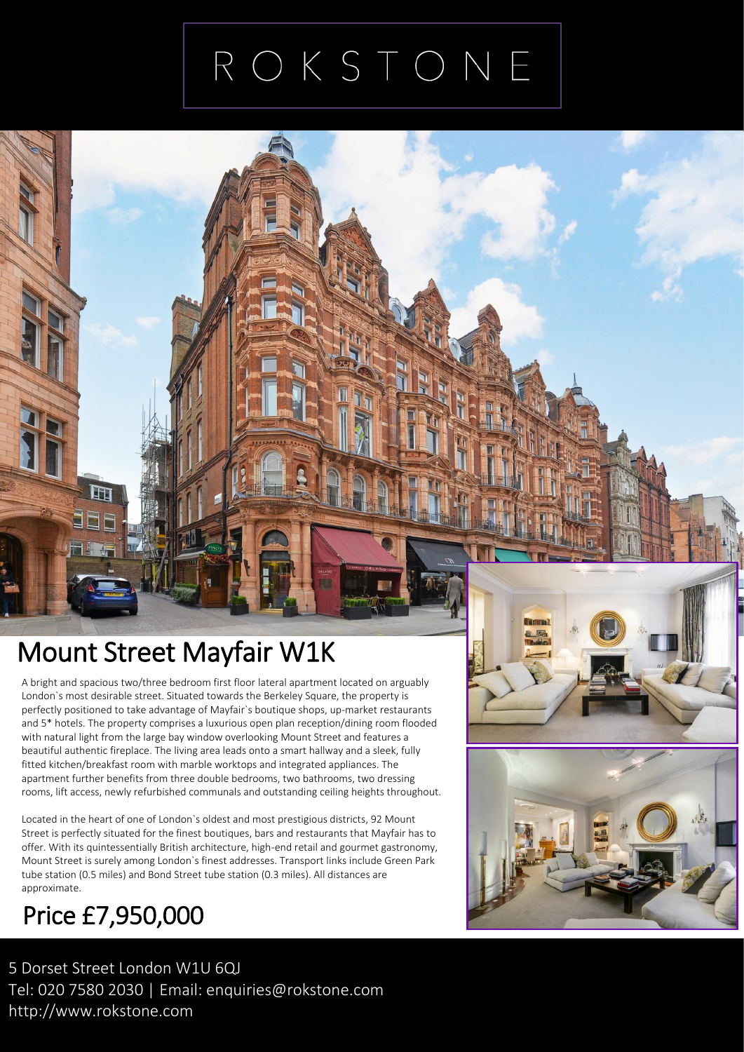## ROKSTONE

### Mount Street Mayfair W1K

A bright and spacious two/three bedroom first floor lateral apartment located on argu<br>London`s most desirable street. Situated towards the Berkeley Square, the property is A bright and spacious two/three bedroom first floor lateral apartment located on arguably perfectly positioned to take advantage of Mayfair`s boutique shops, up-market restaurants and 5\* hotels. The property comprises a luxurious open plan reception/dining room flooded with natural light from the large bay window overlooking Mount Street and features a beautiful authentic fireplace. The living area leads onto a smart hallway and a sleek, fully fitted kitchen/breakfast room with marble worktops and integrated appliances. The apartment further benefits from three double bedrooms, two bathrooms, two dressing rooms, lift access, newly refurbished communals and outstanding ceiling heights throughout.

Located in the heart of one of London`s oldest and most prestigious districts, 92 Mount Street is perfectly situated for the finest boutiques, bars and restaurants that Mayfair has to offer. With its quintessentially British architecture, high-end retail and gourmet gastronomy, Mount Street is surely among London`s finest addresses. Transport links include Green Park tube station (0.5 miles) and Bond Street tube station (0.3 miles). All distances are approximate.

### Price £7,950,000

5 Dorset Street London W1U 6QJ Tel: 020 7580 2030 | Email: enquiries@rokstone.com http://www.rokstone.com